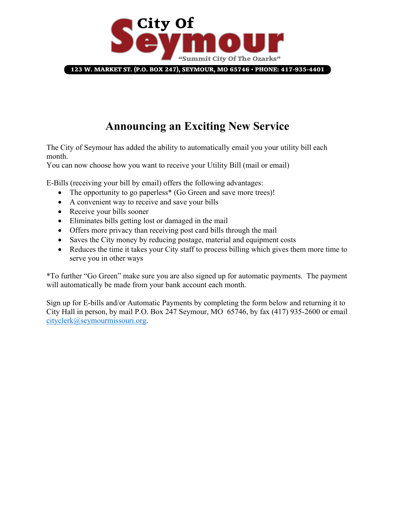

123 W. MARKET ST. (P.O. BOX 247), SEYMOUR, MO 65746 · PHONE: 417-935-4401

## **Announcing an Exciting New Service**

The City of Seymour has added the ability to automatically email you your utility bill each month.

You can now choose how you want to receive your Utility Bill (mail or email)

E-Bills (receiving your bill by email) offers the following advantages:

- The opportunity to go paperless<sup>\*</sup> (Go Green and save more trees)!
- A convenient way to receive and save your bills
- Receive your bills sooner
- Eliminates bills getting lost or damaged in the mail
- Offers more privacy than receiving post card bills through the mail
- Saves the City money by reducing postage, material and equipment costs
- Reduces the time it takes your City staff to process billing which gives them more time to serve you in other ways

\*To further "Go Green" make sure you are also signed up for automatic payments. The payment will automatically be made from your bank account each month.

Sign up for E-bills and/or Automatic Payments by completing the form below and returning it to City Hall in person, by mail P.O. Box 247 Seymour, MO 65746, by fax (417) 935-2600 or email cityclerk@seymourmissouri.org.